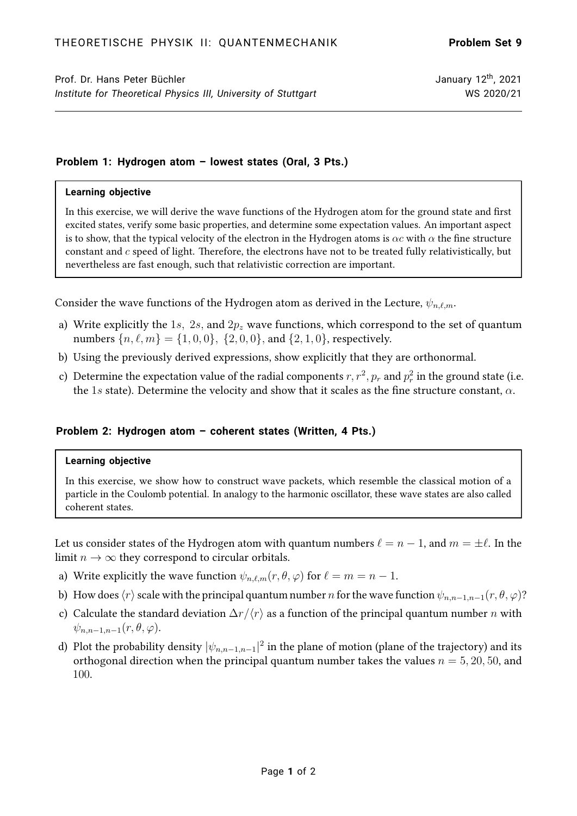# **Problem 1: Hydrogen atom – lowest states (Oral, 3 Pts.)**

#### **Learning objective**

In this exercise, we will derive the wave functions of the Hydrogen atom for the ground state and first excited states, verify some basic properties, and determine some expectation values. An important aspect is to show, that the typical velocity of the electron in the Hydrogen atoms is  $\alpha c$  with  $\alpha$  the fine structure constant and  $c$  speed of light. Therefore, the electrons have not to be treated fully relativistically, but nevertheless are fast enough, such that relativistic correction are important.

Consider the wave functions of the Hydrogen atom as derived in the Lecture,  $\psi_{n,\ell,m}$ .

- a) Write explicitly the 1s, 2s, and  $2p_z$  wave functions, which correspond to the set of quantum numbers  $\{n, \ell, m\} = \{1, 0, 0\}, \{2, 0, 0\}, \text{ and } \{2, 1, 0\}, \text{ respectively.}$
- b) Using the previously derived expressions, show explicitly that they are orthonormal.
- c) Determine the expectation value of the radial components  $r, r^2, p_r$  and  $p_r^2$  in the ground state (i.e. the 1s state). Determine the velocity and show that it scales as the fine structure constant,  $\alpha$ .

### **Problem 2: Hydrogen atom – coherent states (Written, 4 Pts.)**

#### **Learning objective**

In this exercise, we show how to construct wave packets, which resemble the classical motion of a particle in the Coulomb potential. In analogy to the harmonic oscillator, these wave states are also called coherent states.

Let us consider states of the Hydrogen atom with quantum numbers  $\ell = n - 1$ , and  $m = \pm \ell$ . In the limit  $n \to \infty$  they correspond to circular orbitals.

- a) Write explicitly the wave function  $\psi_{n,\ell,m}(r, \theta, \varphi)$  for  $\ell = m = n 1$ .
- b) How does  $\langle r \rangle$  scale with the principal quantum number n for the wave function  $\psi_{n,n-1,n-1}(r, \theta, \varphi)$ ?
- c) Calculate the standard deviation  $\Delta r/\langle r \rangle$  as a function of the principal quantum number n with  $\psi_{n,n-1,n-1}(r,\theta,\varphi).$
- d) Plot the probability density  $|\psi_{n,n-1,n-1}|^2$  in the plane of motion (plane of the trajectory) and its orthogonal direction when the principal quantum number takes the values  $n = 5, 20, 50$ , and 100.